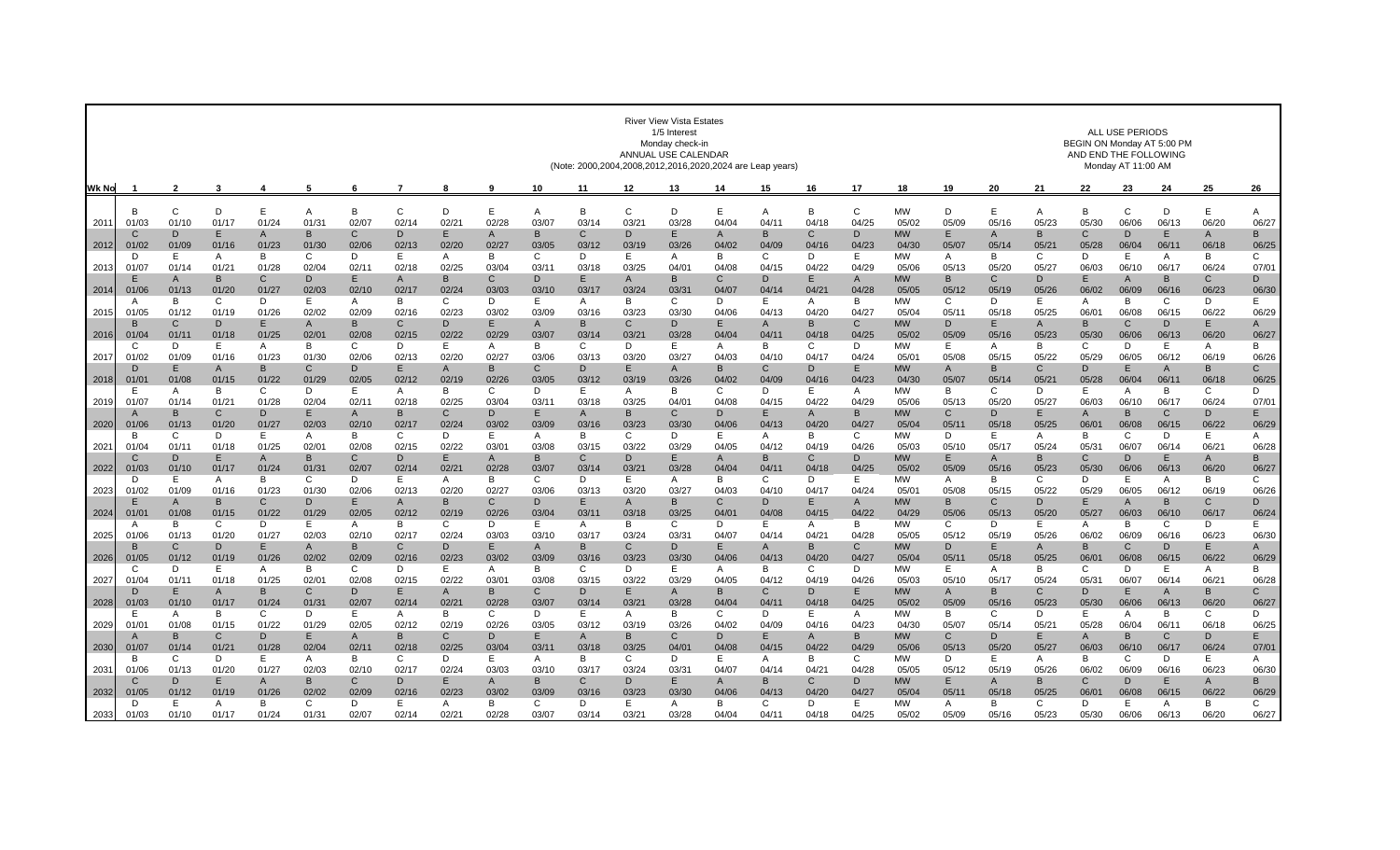|               |                           | <b>River View Vista Estates</b><br>1/5 Interest<br>Monday check-ir<br>ANNUAL USE CALENDAR<br>(Note: 2000,2004,2008,2012,2016,2020,2024 are Leap years) |                |                       |                       |                       |                      |            |              |                       |                         |             |              |              |                       | ALL USE PERIODS<br>BEGIN ON Monday AT 5:00 PM<br>AND END THE FOLLOWING<br>Monday AT 11:00 AM |              |                    |             |              |               |                       |              |                         |                         |                       |
|---------------|---------------------------|--------------------------------------------------------------------------------------------------------------------------------------------------------|----------------|-----------------------|-----------------------|-----------------------|----------------------|------------|--------------|-----------------------|-------------------------|-------------|--------------|--------------|-----------------------|----------------------------------------------------------------------------------------------|--------------|--------------------|-------------|--------------|---------------|-----------------------|--------------|-------------------------|-------------------------|-----------------------|
| Wk No         |                           | $\overline{2}$                                                                                                                                         | 3              | 4                     | -5                    | 6                     |                      | 8          | 9            | 10                    | 11                      | 12          | 13           | 14           | 15                    | 16                                                                                           | 17           | 18                 | 19          | 20           | 21            | 22                    | 23           | 24                      | 25                      | 26                    |
|               | <sub>R</sub>              | $\mathsf{C}$                                                                                                                                           | D              | E                     | A                     | B                     | C                    | D          | E            | A                     | B                       | C           | D            | E            | A                     | B                                                                                            | $\mathsf{C}$ | <b>MW</b>          | D           | E            |               | B                     | $\mathsf{C}$ | D                       | E                       |                       |
| 201'          | 01/03                     | 01/10                                                                                                                                                  | 01/17          | 01/24                 | 01/31                 | 02/07                 | 02/14                | 02/2       | 02/28        | 03/07                 | 03/14                   | 03/2        | 03/28        | 04/04        | 04/1                  | 04/18                                                                                        | 04/25        | 05/02              | 05/09       | 05/16        | Α<br>05/23    | 05/30                 | 06/06        | 06/1                    | 06/20                   | A<br>06/27            |
|               | C                         | D                                                                                                                                                      | E              | A                     | B                     | C                     | D                    | E          | $\mathsf{A}$ | B                     | $\mathsf{C}$            | D           | E            | A            | B                     | C                                                                                            | D            | <b>MW</b>          | E           | A            | в             | $\mathcal{C}$         | D            | E                       | A                       | B                     |
| 2012          | 01/02<br>D                | 01/09<br>E                                                                                                                                             | 01/16<br>A     | 01/23<br>B            | 01/30<br>C            | 02/06<br>D            | 02/13<br>E           | 02/20<br>A | 02/27<br>B   | 03/05<br>C            | 03/12<br>D              | 03/19<br>E. | 03/26<br>A   | 04/02<br>B   | 04/09<br>C            | 04/1<br>D                                                                                    | 04/23<br>Е   | 04/30<br><b>MW</b> | 05/07<br>A  | 05/14<br>B   | $05/2^3$<br>C | 05/28<br>D            | 06/04<br>Е   | 06/1<br>A               | 06/18<br>B              | 06/25<br>C            |
| 201           | 01/07                     | 01/14                                                                                                                                                  | 01/21          | 01/28                 | 02/04                 | 02/11                 | 02/18                | 02/25      | 03/04        | 03/11                 | 03/18                   | 03/25       | 04/01        | 04/08        | 04/15                 | 04/22                                                                                        | 04/29        | 05/06              | 05/13       | 05/20        | 05/27         | 06/03                 | 06/10        | 06/1                    | 06/24                   | 07/0                  |
|               | F                         | A                                                                                                                                                      | B              | $\mathsf{C}$          | D.                    | F                     | $\overline{A}$       | B.         | $\mathsf{C}$ | D.                    | E.                      | A           | <sub>R</sub> | C            | D                     | E                                                                                            | $\mathsf{A}$ | <b>MW</b>          | B           | C.           | D.            | F                     | A            | B                       | $\mathsf{C}$            | D                     |
| 2014          | 01/06<br>A                | 01/13<br>B                                                                                                                                             | 01/20<br>C     | 01/27<br>D            | 02/03<br>E            | 02/10<br>A            | 02/17<br>B           | 02/24<br>C | 03/03<br>D   | 03/10<br>E            | 03/17<br>$\overline{A}$ | 03/24<br>B  | 03/3'<br>C   | 04/07<br>D   | 04/14<br>E            | 04/2'<br>A                                                                                   | 04/28<br>B   | 05/05<br><b>MW</b> | 05/12<br>C  | 05/19<br>D   | 05/26<br>E.   | 06/02<br>A            | 06/09<br>B   | 06/1<br>C               | 06/23<br>D              | 06/30<br>Е            |
| 2015          | 01/05                     | 01/12                                                                                                                                                  | 01/19          | 01/26                 | 02/02                 | 02/09                 | 02/16                | 02/23      | 03/02        | 03/09                 | 03/16                   | 03/23       | 03/30        | 04/06        | 04/13                 | 04/20                                                                                        | 04/27        | 05/04              | 05/11       | 05/18        | 05/25         | 06/0                  | 06/08        | 06/15                   | 06/22                   | 06/29                 |
|               | B                         | C                                                                                                                                                      | D              | E                     | A                     | B                     | C                    | D          | E            | A                     | B                       | C           | D            | E            | A                     | B                                                                                            | C            | <b>MW</b>          | D           | Е            | A             | B                     | C            | D                       | E                       | A                     |
| 2016          | 01/04<br>C                | 01/1<br>D                                                                                                                                              | 01/18<br>Е     | 01/25<br>A            | 02/01<br>B            | 02/08<br>C            | 02/15<br>D           | 02/22<br>E | 02/29<br>A   | 03/07<br>В            | 03/14<br>C              | 03/21<br>D  | 03/28<br>Е   | 04/04<br>A   | 04/11<br>B            | 04/18<br>C                                                                                   | 04/25<br>D   | 05/02<br>MW        | 05/09<br>E. | 05/16<br>A   | 05/23<br>В    | 05/30<br>C            | 06/06<br>D   | 06/13<br>Ε              | 06/20<br>A              | 06/27<br>В            |
| 2017          | 01/02                     | 01/09                                                                                                                                                  | 01/16          | 01/23                 | 01/30                 | 02/06                 | 02/13                | 02/20      | 02/27        | 03/06                 | 03/13                   | 03/20       | 03/27        | 04/03        | 04/10                 | 04/17                                                                                        | 04/24        | 05/0 <sup>1</sup>  | 05/08       | 05/15        | 05/22         | 05/29                 | 06/05        | 06/12                   | 06/19                   | 06/26                 |
|               | D                         | E                                                                                                                                                      | $\overline{A}$ | B                     | $\mathsf{C}$          | D                     | F                    | A          | B            | $\mathsf{C}$          | D                       | E           | A            | B            | $\mathsf{C}$          | D                                                                                            | E            | <b>MW</b>          | A           | <sub>R</sub> | C             | D                     | E            | A                       | B                       | $\mathsf{C}$          |
| 2018          | 01/01<br>F                | 01/08<br>A                                                                                                                                             | 01/15<br>B     | 01/22<br>C            | 01/29<br>D            | 02/05<br>Е            | 02/12<br>A           | 02/19<br>B | 02/26<br>C   | 03/05<br>D            | 03/12<br>E              | 03/19<br>A  | 03/26<br>B   | 04/02<br>C   | 04/09<br>D            | 04/16<br>E                                                                                   | 04/23<br>A   | 04/30<br><b>MW</b> | 05/07<br>B  | 05/14<br>C   | 05/21<br>D    | 05/28<br>F            | 06/04<br>A   | 06/1<br>B               | 06/18<br>C              | 06/25<br>D            |
| 2019          | 01/07                     | 01/1                                                                                                                                                   | 01/21          | 01/28                 | 02/04                 | 02/1                  | 02/18                | 02/25      | 03/04        | 03/1                  | 03/18                   | 03/25       | 04/0'        | 04/08        | 04/15                 | 04/22                                                                                        | 04/29        | 05/06              | 05/13       | 05/20        | 05/27         | 06/03                 | 06/10        | 06/1                    | 06/24                   | 07/0                  |
|               | $\mathbf{A}$              | B                                                                                                                                                      | C              | D                     | E                     | A                     | B                    | C          | D            | Е                     | $\mathsf{A}$            | B           | C.           | D            | E                     | A                                                                                            | B            | <b>MW</b>          | C           | D            | Е             | A                     | B            | C                       | D                       | E                     |
| 2020          | 01/06                     | 01/13<br>$\mathsf{C}$                                                                                                                                  | 01/20<br>D     | 01/27<br>E.           | 02/03                 | 02/10<br><sub>R</sub> | 02/17<br>$\mathbf C$ | 02/24<br>D | 03/02<br>F   | 03/09                 | 03/16<br><sub>R</sub>   | 03/23<br>C. | 03/30<br>D   | 04/06<br>E   | 04/13                 | 04/20<br><sub>R</sub>                                                                        | 04/27<br>C   | 05/04<br><b>MW</b> | 05/11<br>D  | 05/18<br>F   | 05/25         | 06/0<br><sub>B</sub>  | 06/08<br>C   | 06/15<br>D              | 06/22<br>F              | 06/29                 |
| $202^{\circ}$ | B.<br>01/04               | 01/1                                                                                                                                                   | 01/18          | 01/25                 | A<br>02/01            | 02/08                 | 02/15                | 02/22      | 03/01        | A<br>03/08            | 03/15                   | 03/22       | 03/29        | 04/05        | A<br>04/12            | 04/19                                                                                        | 04/26        | 05/03              | 05/10       | 05/17        | A<br>05/24    | 05/31                 | 06/07        | 06/14                   | 06/21                   | A<br>06/28            |
|               | C                         | D                                                                                                                                                      | E              | $\mathsf{A}$          | B                     | C                     | D                    | Е          | A            | B                     | C                       | D           | E            | A            | B                     | C                                                                                            | D            | <b>MW</b>          | E           | A            | в             | C                     | D            | E                       | A                       | B                     |
| 2022          | 01/03                     | 01/1                                                                                                                                                   | 01/17          | 01/24                 | 01/3                  | 02/07                 | 02/14                | 02/2       | 02/28        | 03/07                 | 03/14                   | $03/2^7$    | 03/28        | 04/04        | 04/1                  | 04/18                                                                                        | 04/25        | 05/02              | 05/09       | 05/16        | 05/23         | 05/30                 | 06/06        | 06/13                   | 06/20                   | 06/27                 |
| 2023          | D<br>01/02                | E<br>01/09                                                                                                                                             | A<br>01/16     | B<br>01/23            | C<br>01/30            | D.<br>02/06           | E<br>02/13           | A<br>02/20 | B<br>02/27   | C<br>03/06            | D<br>03/13              | E<br>03/20  | A<br>03/27   | B<br>04/03   | C<br>04/10            | D<br>04/17                                                                                   | E<br>04/24   | <b>MW</b><br>05/01 | A<br>05/08  | B<br>05/15   | C<br>05/22    | D.<br>05/29           | E<br>06/05   | $\overline{A}$<br>06/12 | B<br>06/19              | C<br>06/26            |
|               | Е                         | $\overline{A}$                                                                                                                                         | B              | $\mathsf{C}$          | D                     | Е                     | $\overline{A}$       | B          | $\mathsf{C}$ | D                     | Е                       | A           | B            | C            | D                     | E.                                                                                           | A            | <b>MW</b>          | B           | C            | D             | Е                     | A            | B                       | C                       | D                     |
| - 2024        | 01/01                     | 01/08                                                                                                                                                  | 01/15          | 01/22                 | 01/29                 | 02/05                 | 02/12                | 02/19      | 02/26        | 03/04                 | 03/11                   | 03/18       | 03/25        | 04/0'        | 04/08                 | 04/15                                                                                        | 04/22        | 04/29              | 05/06       | 05/13        | 05/20         | 05/27                 | 06/03        | 06/1                    | 06/17                   | 06/24                 |
| 2025          | A<br>01/06                | B                                                                                                                                                      | C              | D<br>01/27            | E<br>02/03            | A<br>02/10            | <b>B</b><br>02/17    | C<br>02/24 | D<br>03/03   | E<br>03/10            | $\overline{A}$<br>03/17 | B<br>03/24  | C<br>03/31   | D<br>04/07   | E<br>04/14            | A<br>04/21                                                                                   | B<br>04/28   | <b>MW</b><br>05/05 | C<br>05/12  | D<br>05/19   | E             | A<br>06/02            | B<br>06/09   | C<br>06/16              | D<br>06/23              | E<br>06/30            |
|               | B                         | 01/13<br>C                                                                                                                                             | 01/20<br>D     | E                     | A                     | B                     | C                    | D          | E            | A                     | B                       | C           | D            | E            | A                     | B                                                                                            | C            | <b>MW</b>          | D           | Е            | 05/26<br>A    | B                     | C            | D                       | Е                       | A                     |
| 2026          | 01/05                     | 01/12                                                                                                                                                  | 01/19          | 01/26                 | 02/02                 | 02/09                 | 02/16                | 02/23      | 03/02        | 03/09                 | 03/16                   | 03/23       | 03/30        | 04/06        | 04/13                 | 04/20                                                                                        | 04/27        | 05/04              | 05/11       | 05/18        | 05/25         | 06/0                  | 06/08        | 06/15                   | 06/22                   | 06/29                 |
|               | C                         | D                                                                                                                                                      | E              | A                     | B                     | C                     | D                    | E          | A            | B                     | $\mathsf{C}$            | D           | F            | A            | B                     | C                                                                                            | D            | <b>MW</b>          | E           | A            | B             | C                     | D            | E                       | A                       | B                     |
| 2027          | 01/04<br>D.               | 01/1<br>Ε                                                                                                                                              | 01/18<br>A     | 01/25<br>B            | 02/01<br>C            | 02/08<br>D            | 02/15<br>E           | 02/22<br>A | 03/0<br>B    | 03/08<br>$\mathsf{C}$ | 03/15<br>D              | 03/22<br>E. | 03/29<br>A   | 04/05<br>B   | 04/12<br>C            | 04/19<br>D                                                                                   | 04/26<br>E   | 05/03<br><b>MW</b> | 05/10<br>A  | 05/17<br>в   | 05/24<br>C.   | 05/3<br>D             | 06/07<br>Е   | 06/14<br>$\overline{A}$ | 06/21<br>B              | 06/28<br>$\mathsf{C}$ |
| 2028          | 01/03                     | 01/10                                                                                                                                                  | 01/17          | 01/24                 | 01/31                 | 02/07                 | 02/14                | 02/2'      | 02/28        | 03/07                 | 03/14                   | 03/21       | 03/28        | 04/04        | 04/1                  | 04/18                                                                                        | 04/25        | 05/02              | 05/09       | 05/16        | 05/23         | 05/30                 | 06/06        | 06/13                   | 06/20                   | 06/27                 |
|               | F                         | A                                                                                                                                                      | B              | $\mathbf{C}$          | D                     | F                     | $\overline{A}$       | B          | $\mathsf{C}$ | D                     | E                       | A           | B            | $\mathsf{C}$ | D                     | E                                                                                            | A            | <b>MW</b>          | B           | C            | D             | E                     | A            | B                       | $\mathbf{C}$            | D                     |
| 2029          | 01/0                      | 01/08                                                                                                                                                  | 01/15          | 01/22                 | 01/29                 | 02/05                 | 02/12                | 02/19      | 02/26        | 03/05                 | 03/12                   | 03/19       | 03/26        | 04/02        | 04/09                 | 04/16                                                                                        | 04/23        | 04/30              | 05/07       | 05/14        | 05/21         | 05/28                 | 06/04        | 06/1                    | 06/18                   | 06/25                 |
| 2030          | 01/07                     | B<br>01/1                                                                                                                                              | C<br>01/21     | D<br>01/28            | E.<br>02/04           | A<br>02/11            | B<br>02/18           | С<br>02/25 | D<br>03/04   | Е<br>03/11            | A<br>03/18              | B<br>03/25  | C<br>04/01   | D<br>04/08   | Е<br>04/15            | A<br>04/22                                                                                   | B<br>04/29   | <b>MW</b><br>05/06 | C<br>05/13  | D<br>05/20   | Е<br>05/27    | $\mathsf{A}$<br>06/03 | в<br>06/10   | C<br>06/17              | D<br>06/24              | E<br>07/01            |
|               | B                         | C                                                                                                                                                      | D              | E.                    | A                     | <sub>R</sub>          | C                    | D          | E            | Α                     | B                       | C           | D            | E            | A                     | в                                                                                            | C            | <b>MW</b>          | D           | E            | Α             | <sub>B</sub>          | C            | D                       | Ε                       | A                     |
| 203'          | 01/06                     | 01/13                                                                                                                                                  | 01/20          | 01/27                 | 02/03                 | 02/10                 | 02/17                | 02/24      | 03/03        | 03/10                 | 03/17                   | 03/24       | 03/3'        | 04/07        | 04/14                 | $04/2^3$                                                                                     | 04/28        | 05/05              | 05/12       | 05/19        | 05/26         | 06/02                 | 06/09        | 06/16                   | 06/23                   | 06/30                 |
| 2032          | $\mathfrak{c}$ :<br>01/05 | D<br>01/12                                                                                                                                             | E<br>01/19     | $\mathsf{A}$<br>01/26 | <sub>R</sub><br>02/02 | C.<br>02/09           | D<br>02/16           | Е<br>02/23 | A<br>03/02   | B<br>03/09            | C<br>03/16              | D<br>03/23  | F<br>03/30   | А<br>04/06   | <sub>B</sub><br>04/13 | $\mathsf{C}$<br>04/20                                                                        | D.<br>04/27  | <b>MW</b><br>05/04 | E.<br>05/11 | A<br>05/18   | в<br>05/25    | C<br>06/01            | D.<br>06/08  | E<br>06/15              | $\overline{A}$<br>06/22 | B<br>06/29            |
|               | D                         | E                                                                                                                                                      | A              | B                     | C                     | D                     | E                    | A          | B            | C                     | D                       | E.          | A            | B            | C                     | D                                                                                            | E            | <b>MW</b>          | A           | B            | C             | D                     | E            | A                       | B                       | C                     |
| 2033          | 01/03                     | 01/10                                                                                                                                                  | 01/17          | 01/24                 | 01/31                 | 02/07                 | 02/14                | 02/21      | 02/28        | 03/07                 | 03/14                   | 03/2        | 03/28        | 04/04        | 04/11                 | 04/18                                                                                        | 04/25        | 05/02              | 05/09       | 05/16        | 05/23         | 05/30                 | 06/06        | 06/13                   | 06/20                   | 06/27                 |